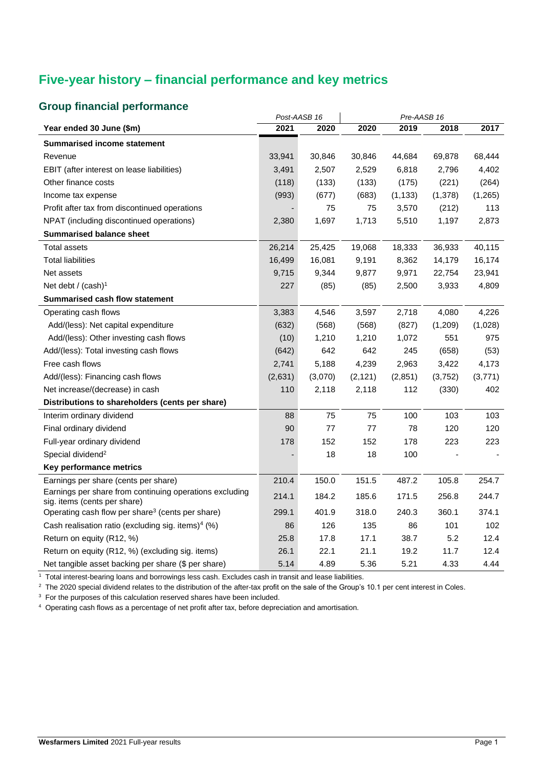# **Five-year history – financial performance and key metrics**

## **Group financial performance**

|                                                                                         | Post-AASB 16 |         | Pre-AASB 16 |          |         |         |
|-----------------------------------------------------------------------------------------|--------------|---------|-------------|----------|---------|---------|
| Year ended 30 June (\$m)                                                                | 2021         | 2020    | 2020        | 2019     | 2018    | 2017    |
| <b>Summarised income statement</b>                                                      |              |         |             |          |         |         |
| Revenue                                                                                 | 33,941       | 30,846  | 30,846      | 44,684   | 69,878  | 68,444  |
| EBIT (after interest on lease liabilities)                                              | 3,491        | 2,507   | 2,529       | 6,818    | 2,796   | 4,402   |
| Other finance costs                                                                     | (118)        | (133)   | (133)       | (175)    | (221)   | (264)   |
| Income tax expense                                                                      | (993)        | (677)   | (683)       | (1, 133) | (1,378) | (1,265) |
| Profit after tax from discontinued operations                                           |              | 75      | 75          | 3,570    | (212)   | 113     |
| NPAT (including discontinued operations)                                                | 2,380        | 1,697   | 1,713       | 5,510    | 1,197   | 2,873   |
| <b>Summarised balance sheet</b>                                                         |              |         |             |          |         |         |
| <b>Total assets</b>                                                                     | 26,214       | 25,425  | 19,068      | 18,333   | 36,933  | 40,115  |
| <b>Total liabilities</b>                                                                | 16,499       | 16,081  | 9,191       | 8,362    | 14,179  | 16,174  |
| Net assets                                                                              | 9,715        | 9,344   | 9,877       | 9,971    | 22,754  | 23,941  |
| Net debt / (cash) <sup>1</sup>                                                          | 227          | (85)    | (85)        | 2,500    | 3,933   | 4,809   |
| Summarised cash flow statement                                                          |              |         |             |          |         |         |
| Operating cash flows                                                                    | 3,383        | 4,546   | 3,597       | 2,718    | 4,080   | 4,226   |
| Add/(less): Net capital expenditure                                                     | (632)        | (568)   | (568)       | (827)    | (1,209) | (1,028) |
| Add/(less): Other investing cash flows                                                  | (10)         | 1,210   | 1,210       | 1,072    | 551     | 975     |
| Add/(less): Total investing cash flows                                                  | (642)        | 642     | 642         | 245      | (658)   | (53)    |
| Free cash flows                                                                         | 2,741        | 5,188   | 4,239       | 2,963    | 3,422   | 4,173   |
| Add/(less): Financing cash flows                                                        | (2,631)      | (3,070) | (2, 121)    | (2,851)  | (3,752) | (3,771) |
| Net increase/(decrease) in cash                                                         | 110          | 2,118   | 2,118       | 112      | (330)   | 402     |
| Distributions to shareholders (cents per share)                                         |              |         |             |          |         |         |
| Interim ordinary dividend                                                               | 88           | 75      | 75          | 100      | 103     | 103     |
| Final ordinary dividend                                                                 | 90           | 77      | 77          | 78       | 120     | 120     |
| Full-year ordinary dividend                                                             | 178          | 152     | 152         | 178      | 223     | 223     |
| Special dividend <sup>2</sup>                                                           |              | 18      | 18          | 100      |         |         |
| Key performance metrics                                                                 |              |         |             |          |         |         |
| Earnings per share (cents per share)                                                    | 210.4        | 150.0   | 151.5       | 487.2    | 105.8   | 254.7   |
| Earnings per share from continuing operations excluding<br>sig. items (cents per share) | 214.1        | 184.2   | 185.6       | 171.5    | 256.8   | 244.7   |
| Operating cash flow per share <sup>3</sup> (cents per share)                            | 299.1        | 401.9   | 318.0       | 240.3    | 360.1   | 374.1   |
| Cash realisation ratio (excluding sig. items) <sup>4</sup> (%)                          | 86           | 126     | 135         | 86       | 101     | 102     |
| Return on equity (R12, %)                                                               | 25.8         | 17.8    | 17.1        | 38.7     | 5.2     | 12.4    |
| Return on equity (R12, %) (excluding sig. items)                                        | 26.1         | 22.1    | 21.1        | 19.2     | 11.7    | 12.4    |
| Net tangible asset backing per share (\$ per share)                                     | 5.14         | 4.89    | 5.36        | 5.21     | 4.33    | 4.44    |

 $1$  Total interest-bearing loans and borrowings less cash. Excludes cash in transit and lease liabilities.

 $^2$  The 2020 special dividend relates to the distribution of the after-tax profit on the sale of the Group's 10.1 per cent interest in Coles.

<sup>3</sup> For the purposes of this calculation reserved shares have been included.

<sup>4</sup> Operating cash flows as a percentage of net profit after tax, before depreciation and amortisation.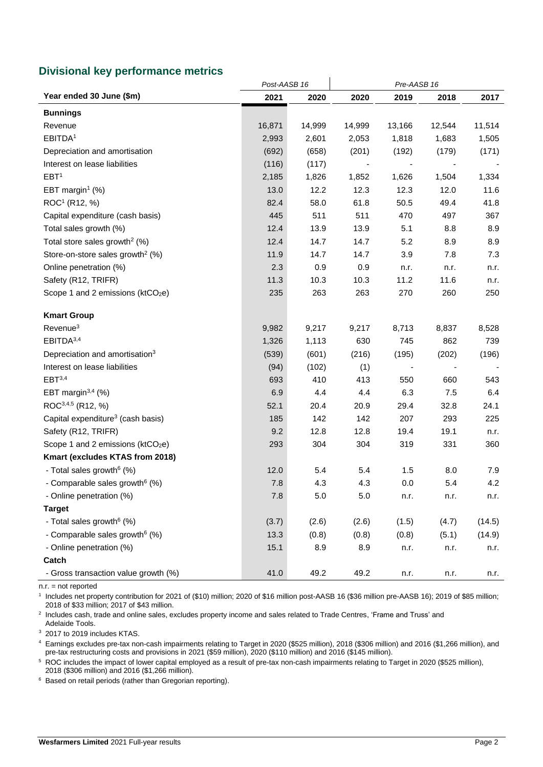#### **Divisional key performance metrics**

l,

|                                               | Post-AASB 16 |        |        |        |        |        |
|-----------------------------------------------|--------------|--------|--------|--------|--------|--------|
| Year ended 30 June (\$m)                      | 2021         | 2020   | 2020   | 2019   | 2018   | 2017   |
| <b>Bunnings</b>                               |              |        |        |        |        |        |
| Revenue                                       | 16,871       | 14,999 | 14,999 | 13,166 | 12,544 | 11,514 |
| EBITDA <sup>1</sup>                           | 2,993        | 2,601  | 2,053  | 1,818  | 1,683  | 1,505  |
| Depreciation and amortisation                 | (692)        | (658)  | (201)  | (192)  | (179)  | (171)  |
| Interest on lease liabilities                 | (116)        | (117)  |        |        |        |        |
| EBT <sup>1</sup>                              | 2,185        | 1,826  | 1,852  | 1,626  | 1,504  | 1,334  |
| EBT margin <sup>1</sup> $(\%)$                | 13.0         | 12.2   | 12.3   | 12.3   | 12.0   | 11.6   |
| ROC <sup>1</sup> (R12, %)                     | 82.4         | 58.0   | 61.8   | 50.5   | 49.4   | 41.8   |
| Capital expenditure (cash basis)              | 445          | 511    | 511    | 470    | 497    | 367    |
| Total sales growth (%)                        | 12.4         | 13.9   | 13.9   | 5.1    | 8.8    | 8.9    |
| Total store sales growth <sup>2</sup> (%)     | 12.4         | 14.7   | 14.7   | 5.2    | 8.9    | 8.9    |
| Store-on-store sales growth <sup>2</sup> (%)  | 11.9         | 14.7   | 14.7   | 3.9    | 7.8    | 7.3    |
| Online penetration (%)                        | 2.3          | 0.9    | 0.9    | n.r.   | n.r.   | n.r.   |
| Safety (R12, TRIFR)                           | 11.3         | 10.3   | 10.3   | 11.2   | 11.6   | n.r.   |
| Scope 1 and 2 emissions (ktCO <sub>2</sub> e) | 235          | 263    | 263    | 270    | 260    | 250    |
| <b>Kmart Group</b>                            |              |        |        |        |        |        |
| Revenue <sup>3</sup>                          | 9,982        | 9,217  | 9,217  | 8,713  | 8,837  | 8,528  |
| EBITDA <sup>3,4</sup>                         | 1,326        | 1,113  | 630    | 745    | 862    | 739    |
| Depreciation and amortisation <sup>3</sup>    | (539)        | (601)  | (216)  | (195)  | (202)  | (196)  |
| Interest on lease liabilities                 | (94)         | (102)  | (1)    |        |        |        |
| EBT <sup>3,4</sup>                            | 693          | 410    | 413    | 550    | 660    | 543    |
| EBT margin $3,4$ (%)                          | 6.9          | 4.4    | 4.4    | 6.3    | 7.5    | 6.4    |
| ROC <sup>3,4,5</sup> (R12, %)                 | 52.1         | 20.4   | 20.9   | 29.4   | 32.8   | 24.1   |
| Capital expenditure <sup>3</sup> (cash basis) | 185          | 142    | 142    | 207    | 293    | 225    |
| Safety (R12, TRIFR)                           | 9.2          | 12.8   | 12.8   | 19.4   | 19.1   | n.r.   |
| Scope 1 and 2 emissions (ktCO2e)              | 293          | 304    | 304    | 319    | 331    | 360    |
| Kmart (excludes KTAS from 2018)               |              |        |        |        |        |        |
| - Total sales growth <sup>6</sup> (%)         | 12.0         | 5.4    | 5.4    | 1.5    | 8.0    | 7.9    |
| - Comparable sales growth <sup>6</sup> (%)    | 7.8          | 4.3    | 4.3    | 0.0    | 5.4    | 4.2    |
| - Online penetration (%)                      | 7.8          | 5.0    | 5.0    | n.r.   | n.r.   | n.r.   |
| <b>Target</b>                                 |              |        |        |        |        |        |
| - Total sales growth <sup>6</sup> (%)         | (3.7)        | (2.6)  | (2.6)  | (1.5)  | (4.7)  | (14.5) |
| - Comparable sales growth <sup>6</sup> (%)    | 13.3         | (0.8)  | (0.8)  | (0.8)  | (5.1)  | (14.9) |
| - Online penetration (%)                      | 15.1         | 8.9    | 8.9    | n.r.   | n.r.   | n.r.   |
| Catch                                         |              |        |        |        |        |        |
| - Gross transaction value growth (%)          | 41.0         | 49.2   | 49.2   | n.r.   | n.r.   | n.r.   |

n.r. = not reported

1 Includes net property contribution for 2021 of (\$10) million; 2020 of \$16 million post-AASB 16 (\$36 million pre-AASB 16); 2019 of \$85 million; 2018 of \$33 million; 2017 of \$43 million.

<sup>2</sup> Includes cash, trade and online sales, excludes property income and sales related to Trade Centres, 'Frame and Truss' and Adelaide Tools.

<sup>3</sup> 2017 to 2019 includes KTAS.

<sup>4</sup> Earnings excludes pre-tax non-cash impairments relating to Target in 2020 (\$525 million), 2018 (\$306 million) and 2016 (\$1,266 million), and pre-tax restructuring costs and provisions in 2021 (\$59 million), 2020 (\$110 million) and 2016 (\$145 million).

<sup>5</sup> ROC includes the impact of lower capital employed as a result of pre-tax non-cash impairments relating to Target in 2020 (\$525 million), 2018 (\$306 million) and 2016 (\$1,266 million).

<sup>6</sup> Based on retail periods (rather than Gregorian reporting).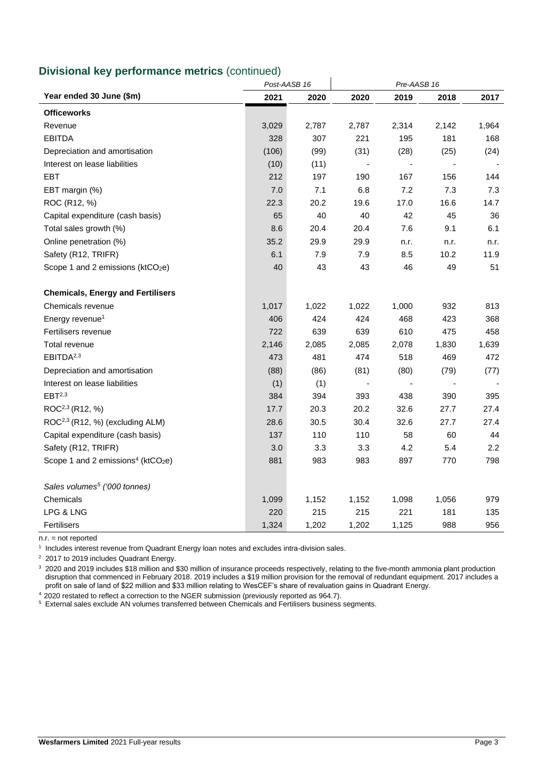### **Divisional key performance metrics** (continued)

|                                                            |       | Post-AASB 16 | Pre-AASB 16              |       |       |       |
|------------------------------------------------------------|-------|--------------|--------------------------|-------|-------|-------|
| Year ended 30 June (\$m)                                   | 2021  | 2020         | 2020                     | 2019  | 2018  | 2017  |
| <b>Officeworks</b>                                         |       |              |                          |       |       |       |
| Revenue                                                    | 3,029 | 2,787        | 2,787                    | 2,314 | 2,142 | 1,964 |
| <b>EBITDA</b>                                              | 328   | 307          | 221                      | 195   | 181   | 168   |
| Depreciation and amortisation                              | (106) | (99)         | (31)                     | (28)  | (25)  | (24)  |
| Interest on lease liabilities                              | (10)  | (11)         |                          |       |       |       |
| EBT                                                        | 212   | 197          | 190                      | 167   | 156   | 144   |
| EBT margin (%)                                             | 7.0   | 7.1          | 6.8                      | 7.2   | 7.3   | 7.3   |
| ROC (R12, %)                                               | 22.3  | 20.2         | 19.6                     | 17.0  | 16.6  | 14.7  |
| Capital expenditure (cash basis)                           | 65    | 40           | 40                       | 42    | 45    | 36    |
| Total sales growth (%)                                     | 8.6   | 20.4         | 20.4                     | 7.6   | 9.1   | 6.1   |
| Online penetration (%)                                     | 35.2  | 29.9         | 29.9                     | n.r.  | n.r.  | n.r.  |
| Safety (R12, TRIFR)                                        | 6.1   | 7.9          | 7.9                      | 8.5   | 10.2  | 11.9  |
| Scope 1 and 2 emissions (ktCO <sub>2</sub> e)              | 40    | 43           | 43                       | 46    | 49    | 51    |
| <b>Chemicals, Energy and Fertilisers</b>                   |       |              |                          |       |       |       |
| Chemicals revenue                                          | 1,017 | 1,022        | 1,022                    | 1,000 | 932   | 813   |
| Energy revenue <sup>1</sup>                                | 406   | 424          | 424                      | 468   | 423   | 368   |
| Fertilisers revenue                                        | 722   | 639          | 639                      | 610   | 475   | 458   |
| Total revenue                                              | 2,146 | 2,085        | 2,085                    | 2,078 | 1,830 | 1,639 |
| EBITDA <sup>2,3</sup>                                      | 473   | 481          | 474                      | 518   | 469   | 472   |
| Depreciation and amortisation                              | (88)  | (86)         | (81)                     | (80)  | (79)  | (77)  |
| Interest on lease liabilities                              | (1)   | (1)          | $\overline{\phantom{0}}$ |       |       |       |
| EBT <sup>2,3</sup>                                         | 384   | 394          | 393                      | 438   | 390   | 395   |
| ROC <sup>2,3</sup> (R12, %)                                | 17.7  | 20.3         | 20.2                     | 32.6  | 27.7  | 27.4  |
| ROC <sup>2,3</sup> (R12, %) (excluding ALM)                | 28.6  | 30.5         | 30.4                     | 32.6  | 27.7  | 27.4  |
| Capital expenditure (cash basis)                           | 137   | 110          | 110                      | 58    | 60    | 44    |
| Safety (R12, TRIFR)                                        | 3.0   | 3.3          | 3.3                      | 4.2   | 5.4   | 2.2   |
| Scope 1 and 2 emissions <sup>4</sup> (ktCO <sub>2</sub> e) | 881   | 983          | 983                      | 897   | 770   | 798   |
| Sales volumes <sup>5</sup> ('000 tonnes)                   |       |              |                          |       |       |       |
| Chemicals                                                  | 1,099 | 1,152        | 1,152                    | 1,098 | 1,056 | 979   |
| LPG & LNG                                                  | 220   | 215          | 215                      | 221   | 181   | 135   |
| Fertilisers                                                | 1,324 | 1,202        | 1,202                    | 1,125 | 988   | 956   |

n.r. = not reported

1 Includes interest revenue from Quadrant Energy loan notes and excludes intra-division sales.

<sup>2</sup> 2017 to 2019 includes Quadrant Energy.

 $3$  2020 and 2019 includes \$18 million and \$30 million of insurance proceeds respectively, relating to the five-month ammonia plant production disruption that commenced in February 2018. 2019 includes a \$19 million provision for the removal of redundant equipment. 2017 includes a profit on sale of land of \$22 million and \$33 million relating to WesCEF's share of revaluation gains in Quadrant Energy.

 $42020$  restated to reflect a correction to the NGER submission (previously reported as 964.7).

 $5$  External sales exclude AN volumes transferred between Chemicals and Fertilisers business segments.